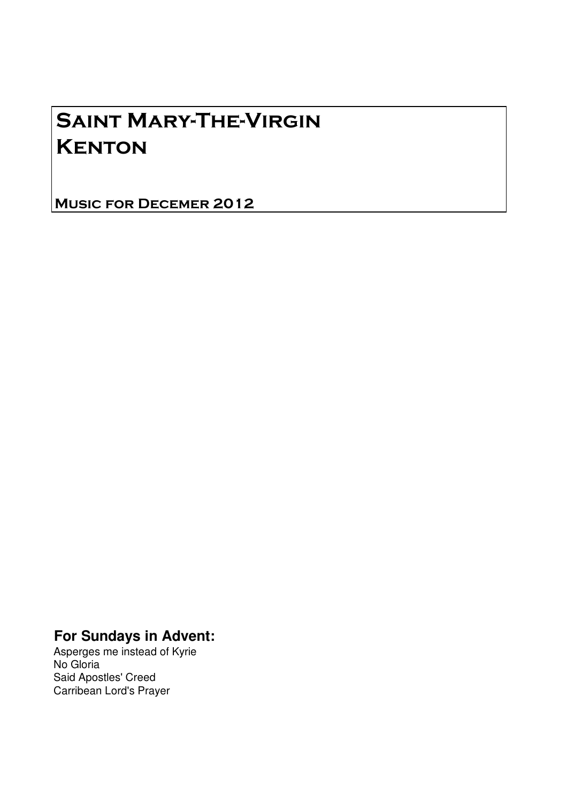# Saint Mary-The-Virgin **KENTON**

Music for Decemer 2012

# **For Sundays in Advent:**

Asperges me instead of Kyrie No Gloria Said Apostles' Creed Carribean Lord's Prayer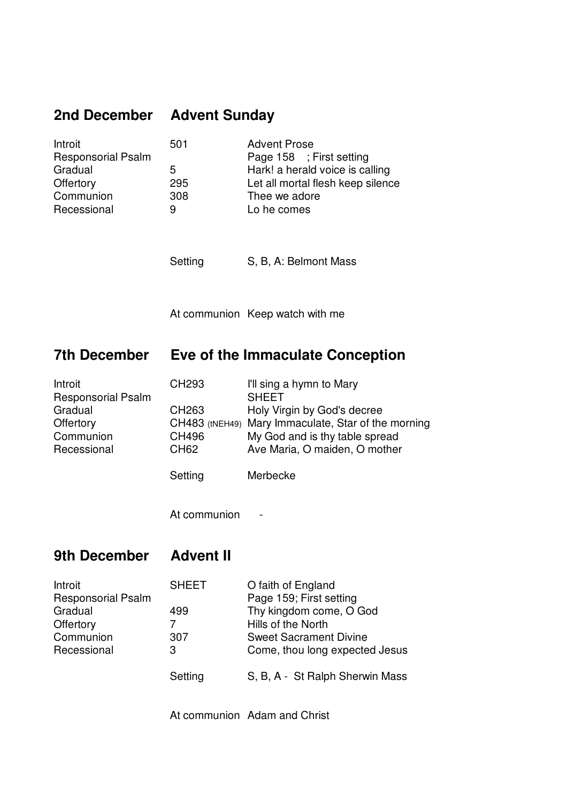#### **2nd December Advent Sunday**

Recessional 9 Lo he comes

Introit 501 Advent Prose Responsorial Psalm Page 158 ; First setting Gradual 5 Hark! a herald voice is calling Offertory 295 Let all mortal flesh keep silence Communion 308 Thee we adore

Setting S, B, A: Belmont Mass

At communion Keep watch with me

#### **7th December Eve of the Immaculate Conception**

| Introit                   | CH <sub>293</sub> | I'll sing a hymn to Mary                            |
|---------------------------|-------------------|-----------------------------------------------------|
| <b>Responsorial Psalm</b> |                   | <b>SHEET</b>                                        |
| Gradual                   | CH <sub>263</sub> | Holy Virgin by God's decree                         |
| Offertory                 |                   | CH483 (tNEH49) Mary Immaculate, Star of the morning |
| Communion                 | <b>CH496</b>      | My God and is thy table spread                      |
| Recessional               | CH62              | Ave Maria, O maiden, O mother                       |
|                           | Setting           | Merbecke                                            |

At communion -

#### **9th December Advent II**

| Introit                   | <b>SHEET</b> | O faith of England              |
|---------------------------|--------------|---------------------------------|
| <b>Responsorial Psalm</b> |              | Page 159; First setting         |
| Gradual                   | 499          | Thy kingdom come, O God         |
| Offertory                 |              | Hills of the North              |
| Communion                 | 307          | <b>Sweet Sacrament Divine</b>   |
| Recessional               | 3            | Come, thou long expected Jesus  |
|                           | Setting      | S, B, A - St Ralph Sherwin Mass |

At communion Adam and Christ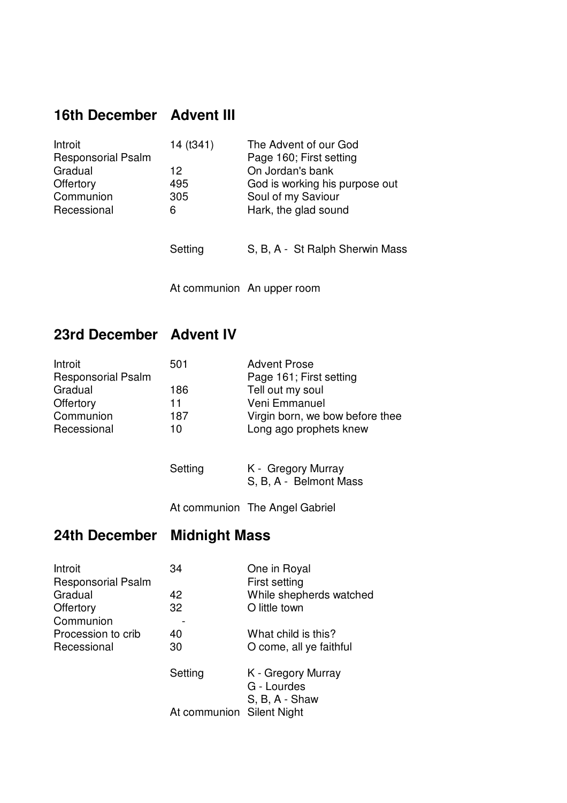### **16th December Advent III**

| Introit                   | 14 (t341) | The Advent of our God           |
|---------------------------|-----------|---------------------------------|
| <b>Responsorial Psalm</b> |           | Page 160; First setting         |
| Gradual                   | 12        | On Jordan's bank                |
| Offertory                 | 495       | God is working his purpose out  |
| Communion                 | 305       | Soul of my Saviour              |
| Recessional               | 6         | Hark, the glad sound            |
|                           |           |                                 |
|                           | Setting   | S, B, A - St Ralph Sherwin Mass |
|                           |           |                                 |

At communion An upper room

# **23rd December Advent IV**

| Introit                   | 501 | <b>Advent Prose</b>             |
|---------------------------|-----|---------------------------------|
| <b>Responsorial Psalm</b> |     | Page 161; First setting         |
| Gradual                   | 186 | Tell out my soul                |
| Offertory                 | 11  | Veni Emmanuel                   |
| Communion                 | 187 | Virgin born, we bow before thee |
| Recessional               | 10  | Long ago prophets knew          |

| Setting | K - Gregory Murray     |  |
|---------|------------------------|--|
|         | S, B, A - Belmont Mass |  |

At communion The Angel Gabriel

## **24th December Midnight Mass**

| 34      | One in Royal              |
|---------|---------------------------|
|         | First setting             |
| 42      | While shepherds watched   |
| 32      | O little town             |
|         |                           |
| 40      | What child is this?       |
| 30      | O come, all ye faithful   |
| Setting | K - Gregory Murray        |
|         | G - Lourdes               |
|         | S, B, A - Shaw            |
|         |                           |
|         | At communion Silent Night |